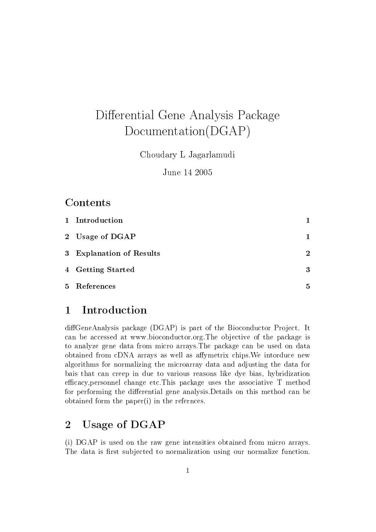# Differential Gene Analysis Package Documentation(DGAP)

Choudary L Jagarlamudi

June 14 2005

## Contents

| 1 Introduction           |                |
|--------------------------|----------------|
| 2 Usage of DGAP          | 1              |
| 3 Explanation of Results | $\overline{2}$ |
| 4 Getting Started        | 3              |
| 5 References             | 5              |

## 1 Introduction

diffGeneAnalysis package (DGAP) is part of the Bioconductor Project. It can be accessed at www.bioconductor.org.The objective of the package is to analyze gene data from micro arrays.The package can be used on data obtained from cDNA arrays as well as affymetrix chips. We intorduce new algorithms for normalizing the microarray data and adjusting the data for bais that can creep in due to various reasons like dye bias, hybridization efficacy, personnel change etc. This package uses the associative  $T$  method for performing the differential gene analysis. Details on this method can be obtained form the paper(i) in the refernces.

## 2 Usage of DGAP

(i) DGAP is used on the raw gene intensities obtained from micro arrays. The data is first subjected to normalization using our normalize function.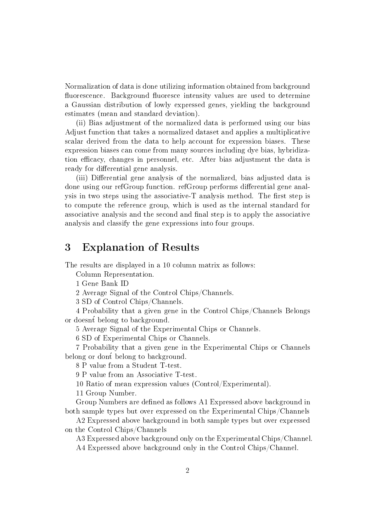Normalization of data is done utilizing information obtained from background fluorescence. Background fluoresce intensity values are used to determine a Gaussian distribution of lowly expressed genes, yielding the background estimates (mean and standard deviation).

(ii) Bias adjustment of the normalized data is performed using our bias Adjust function that takes a normalized dataset and applies a multiplicative scalar derived from the data to help account for expression biases. These expression biases can come from many sources including dye bias, hybridization efficacy, changes in personnel, etc. After bias adjustment the data is ready for differential gene analysis.

(iii) Differential gene analysis of the normalized, bias adjusted data is done using our refGroup function. refGroup performs differential gene analysis in two steps using the associative- $T$  analysis method. The first step is to compute the reference group, which is used as the internal standard for associative analysis and the second and final step is to apply the associative analysis and classify the gene expressions into four groups.

### 3 Explanation of Results

The results are displayed in a 10 column matrix as follows:

Column Representation.

1 Gene Bank ID

2 Average Signal of the Control Chips/Channels.

3 SD of Control Chips/Channels.

4 Probability that a given gene in the Control Chips/Channels Belongs or doesnt belong to background.

5 Average Signal of the Experimental Chips or Channels.

6 SD of Experimental Chips or Channels.

7 Probability that a given gene in the Experimental Chips or Channels belong or dont belong to background.

8 P value from a Student T-test.

9 P value from an Associative T-test.

10 Ratio of mean expression values (Control/Experimental).

11 Group Number.

Group Numbers are defined as follows A1 Expressed above background in both sample types but over expressed on the Experimental Chips/Channels

A2 Expressed above background in both sample types but over expressed on the Control Chips/Channels

A3 Expressed above background only on the Experimental Chips/Channel.

A4 Expressed above background only in the Control Chips/Channel.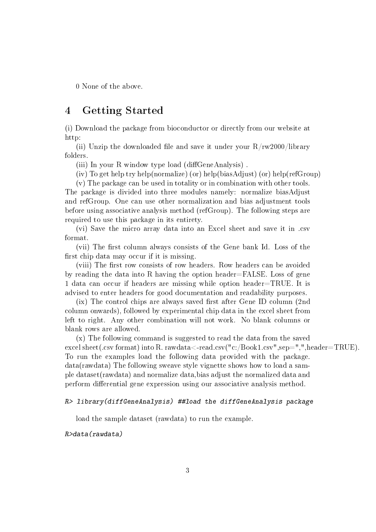0 None of the above.

### 4 Getting Started

(i) Download the package from bioconductor or directly from our website at http:

(ii) Unzip the downloaded file and save it under your  $R/rw2000/library$ folders.

(iii) In your R window type load (diffGeneAnalysis).

(iv) To get help try help(normalize) (or) help(biasAdjust) (or) help(refGroup)

(v) The package can be used in totality or in combination with other tools. The package is divided into three modules namely: normalize biasAdjust and refGroup. One can use other normalization and bias adjustment tools before using associative analysis method (refGroup). The following steps are required to use this package in its entirety.

(vi) Save the micro array data into an Excel sheet and save it in .csv format.

(vii) The first column always consists of the Gene bank Id. Loss of the first chip data may occur if it is missing.

(viii) The first row consists of row headers. Row headers can be avoided by reading the data into R having the option header=FALSE. Loss of gene 1 data can occur if headers are missing while option header=TRUE. It is advised to enter headers for good documentation and readability purposes.

 $(ix)$  The control chips are always saved first after Gene ID column (2nd) column onwards), followed by experimental chip data in the excel sheet from left to right. Any other combination will not work. No blank columns or blank rows are allowed.

(x) The following command is suggested to read the data from the saved excel sheet(.csv format) into R. rawdata<-read.csv("c:/Book1.csv",sep=",",header=TRUE). To run the examples load the following data provided with the package. data(rawdata) The following sweave style vignette shows how to load a sample dataset(rawdata) and normalize data,bias adjust the normalized data and perform differential gene expression using our associative analysis method.

#### R> library(diffGeneAnalysis) ##load the diffGeneAnalysis package

load the sample dataset (rawdata) to run the example.

#### R>data(rawdata)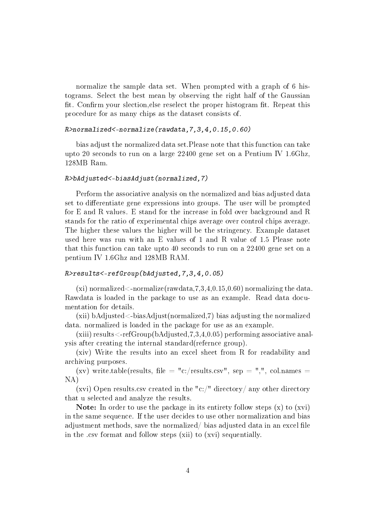normalize the sample data set. When prompted with a graph of 6 histograms. Select the best mean by observing the right half of the Gaussian fit. Confirm your slection, else reselect the proper histogram fit. Repeat this procedure for as many chips as the dataset consists of.

#### R>normalized<-normalize(rawdata,7,3,4,0.15,0.60)

bias adjust the normalized data set.Please note that this function can take upto 20 seconds to run on a large 22400 gene set on a Pentium IV 1.6Ghz, 128MB Ram.

#### R>bAdjusted<-biasAdjust(normalized,7)

Perform the associative analysis on the normalized and bias adjusted data set to differentiate gene expressions into groups. The user will be prompted for E and R values. E stand for the increase in fold over background and R stands for the ratio of experimental chips average over control chips average. The higher these values the higher will be the stringency. Example dataset used here was run with an E values of 1 and R value of 1.5 Please note that this function can take upto 40 seconds to run on a 22400 gene set on a pentium IV 1.6Ghz and 128MB RAM.

#### R>results<-refGroup(bAdjusted,7,3,4,0.05)

(xi) normalized  $\leq$ -normalize(rawdata, 7, 3, 4, 0, 15, 0, 60) normalizing the data. Rawdata is loaded in the package to use as an example. Read data documentation for details.

(xii) bAdjusted<-biasAdjust(normalized,7) bias adjusting the normalized data. normalized is loaded in the package for use as an example.

(xiii) results  $\leq$ -refGroup(bAdjusted, 7,3,4,0.05) performing associative analysis after creating the internal standard(refernce group).

(xiv) Write the results into an excel sheet from R for readability and archiving purposes.

(xv) write.table(results, file = "c:/results.csv", sep = ",", col.names = NA)

(xvi) Open results.csv created in the "c:/" directory/ any other directory that u selected and analyze the results.

**Note:** In order to use the package in its entirety follow steps  $(x)$  to  $(xvi)$ in the same sequence. If the user decides to use other normalization and bias adjustment methods, save the normalized/ $\beta$  bias adjusted data in an excel file in the .csv format and follow steps (xii) to (xvi) sequentially.